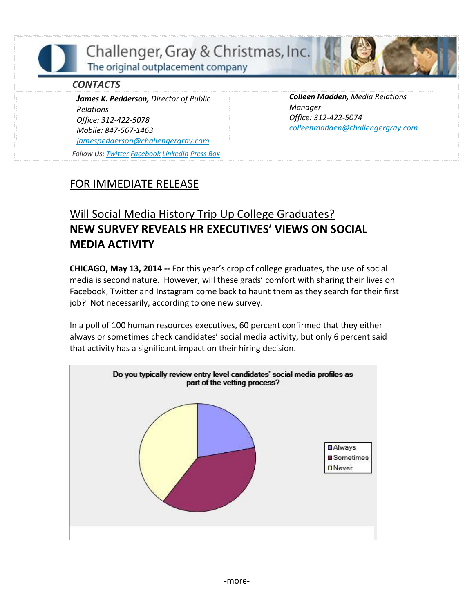Challenger, Gray & Christmas, Inc. The original outplacement company

## *CONTACTS*

*James K. Pedderson, Director of Public Relations Office: 312-422-5078 Mobile: 847-567-1463 [jamespedderson@challengergray.com](mailto:jamespedderson@challengergray.com)*

*Follow Us: [Twitter](https://twitter.com/#!/ChallengerGray) [Facebook](https://www.facebook.com/ChallengerGray) [LinkedIn](http://www.linkedin.com/company/28264?trk=tyah) [Press Box](http://www.challengergray.com/press/press-releases)*

*Colleen Madden, Media Relations Manager Office: 312-422-5074 [colleenmadden@challengergray.com](mailto:colleenmadden@challengergray.com)*

## FOR IMMEDIATE RELEASE

## Will Social Media History Trip Up College Graduates? **NEW SURVEY REVEALS HR EXECUTIVES' VIEWS ON SOCIAL MEDIA ACTIVITY**

**CHICAGO, May 13, 2014 --** For this year's crop of college graduates, the use of social media is second nature. However, will these grads' comfort with sharing their lives on Facebook, Twitter and Instagram come back to haunt them as they search for their first job? Not necessarily, according to one new survey.

In a poll of 100 human resources executives, 60 percent confirmed that they either always or sometimes check candidates' social media activity, but only 6 percent said that activity has a significant impact on their hiring decision.

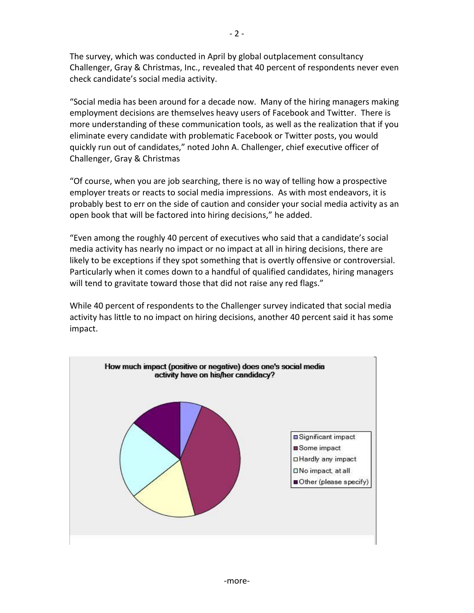The survey, which was conducted in April by global outplacement consultancy Challenger, Gray & Christmas, Inc., revealed that 40 percent of respondents never even check candidate's social media activity.

"Social media has been around for a decade now. Many of the hiring managers making employment decisions are themselves heavy users of Facebook and Twitter. There is more understanding of these communication tools, as well as the realization that if you eliminate every candidate with problematic Facebook or Twitter posts, you would quickly run out of candidates," noted John A. Challenger, chief executive officer of Challenger, Gray & Christmas

"Of course, when you are job searching, there is no way of telling how a prospective employer treats or reacts to social media impressions. As with most endeavors, it is probably best to err on the side of caution and consider your social media activity as an open book that will be factored into hiring decisions," he added.

"Even among the roughly 40 percent of executives who said that a candidate's social media activity has nearly no impact or no impact at all in hiring decisions, there are likely to be exceptions if they spot something that is overtly offensive or controversial. Particularly when it comes down to a handful of qualified candidates, hiring managers will tend to gravitate toward those that did not raise any red flags."

While 40 percent of respondents to the Challenger survey indicated that social media activity has little to no impact on hiring decisions, another 40 percent said it has some impact.

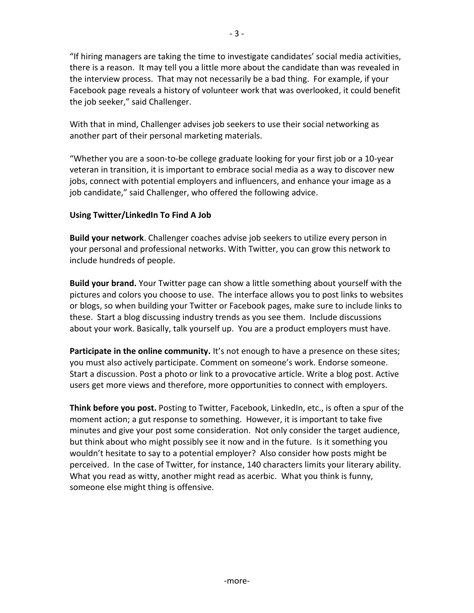"If hiring managers are taking the time to investigate candidates' social media activities, there is a reason. It may tell you a little more about the candidate than was revealed in the interview process. That may not necessarily be a bad thing. For example, if your Facebook page reveals a history of volunteer work that was overlooked, it could benefit the job seeker," said Challenger.

With that in mind, Challenger advises job seekers to use their social networking as another part of their personal marketing materials.

"Whether you are a soon-to-be college graduate looking for your first job or a 10-year veteran in transition, it is important to embrace social media as a way to discover new jobs, connect with potential employers and influencers, and enhance your image as a job candidate," said Challenger, who offered the following advice.

## **Using Twitter/LinkedIn To Find A Job**

**Build your network**. Challenger coaches advise job seekers to utilize every person in your personal and professional networks. With Twitter, you can grow this network to include hundreds of people.

**Build your brand.** Your Twitter page can show a little something about yourself with the pictures and colors you choose to use. The interface allows you to post links to websites or blogs, so when building your Twitter or Facebook pages, make sure to include links to these. Start a blog discussing industry trends as you see them. Include discussions about your work. Basically, talk yourself up. You are a product employers must have.

**Participate in the online community.** It's not enough to have a presence on these sites; you must also actively participate. Comment on someone's work. Endorse someone. Start a discussion. Post a photo or link to a provocative article. Write a blog post. Active users get more views and therefore, more opportunities to connect with employers.

**Think before you post.** Posting to Twitter, Facebook, LinkedIn, etc., is often a spur of the moment action; a gut response to something. However, it is important to take five minutes and give your post some consideration. Not only consider the target audience, but think about who might possibly see it now and in the future. Is it something you wouldn't hesitate to say to a potential employer? Also consider how posts might be perceived. In the case of Twitter, for instance, 140 characters limits your literary ability. What you read as witty, another might read as acerbic. What you think is funny, someone else might thing is offensive.